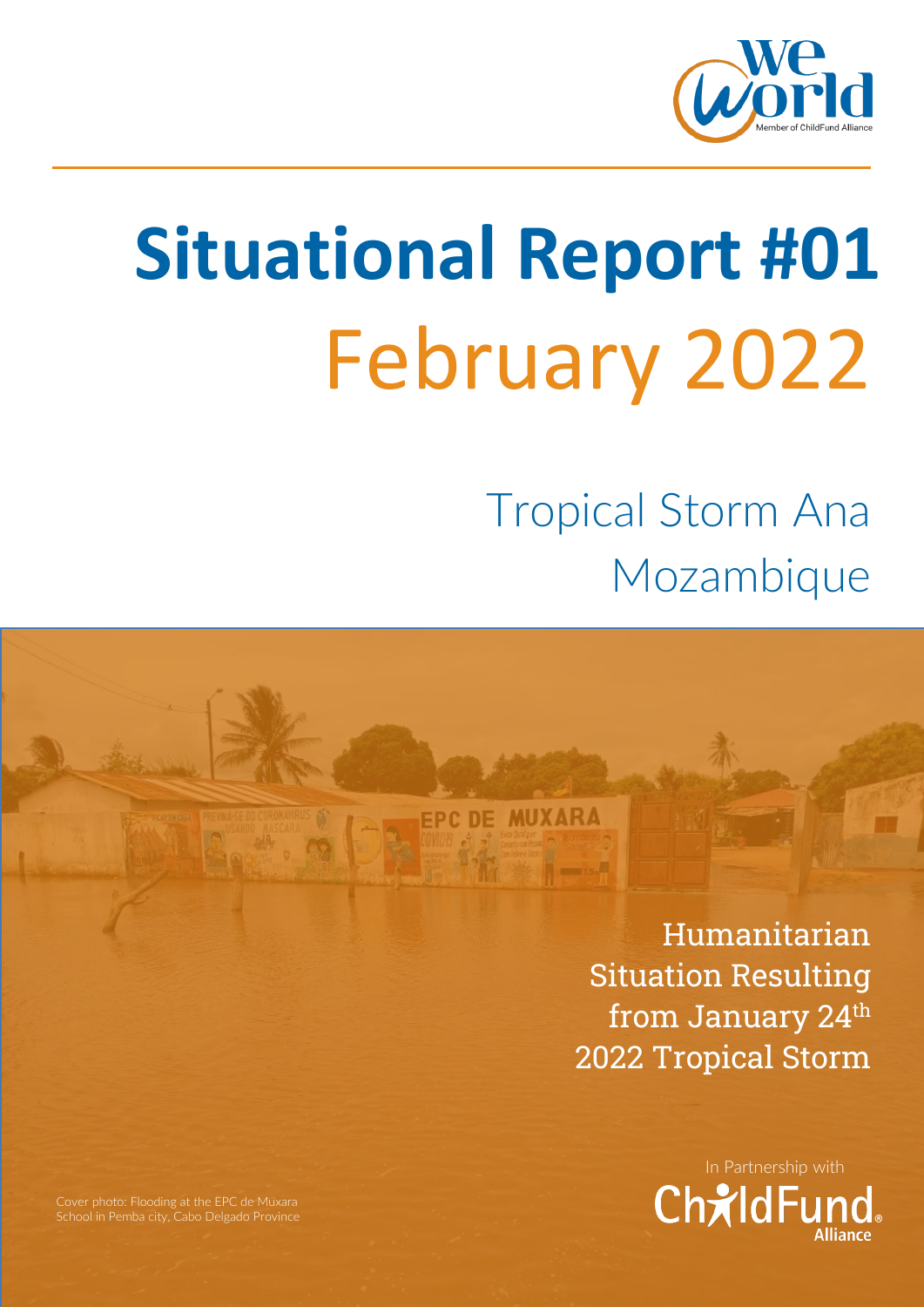

# **Situational Report #01** February 2022

**FPC DE MUXARA** 

Tropical Storm Ana Mozambique

> Humanitarian Situation Resulting from January 24th 2022 Tropical Storm



Cover photo: Flooding at the EPC de Muxara School in Pemba city, Cabo Delgado Province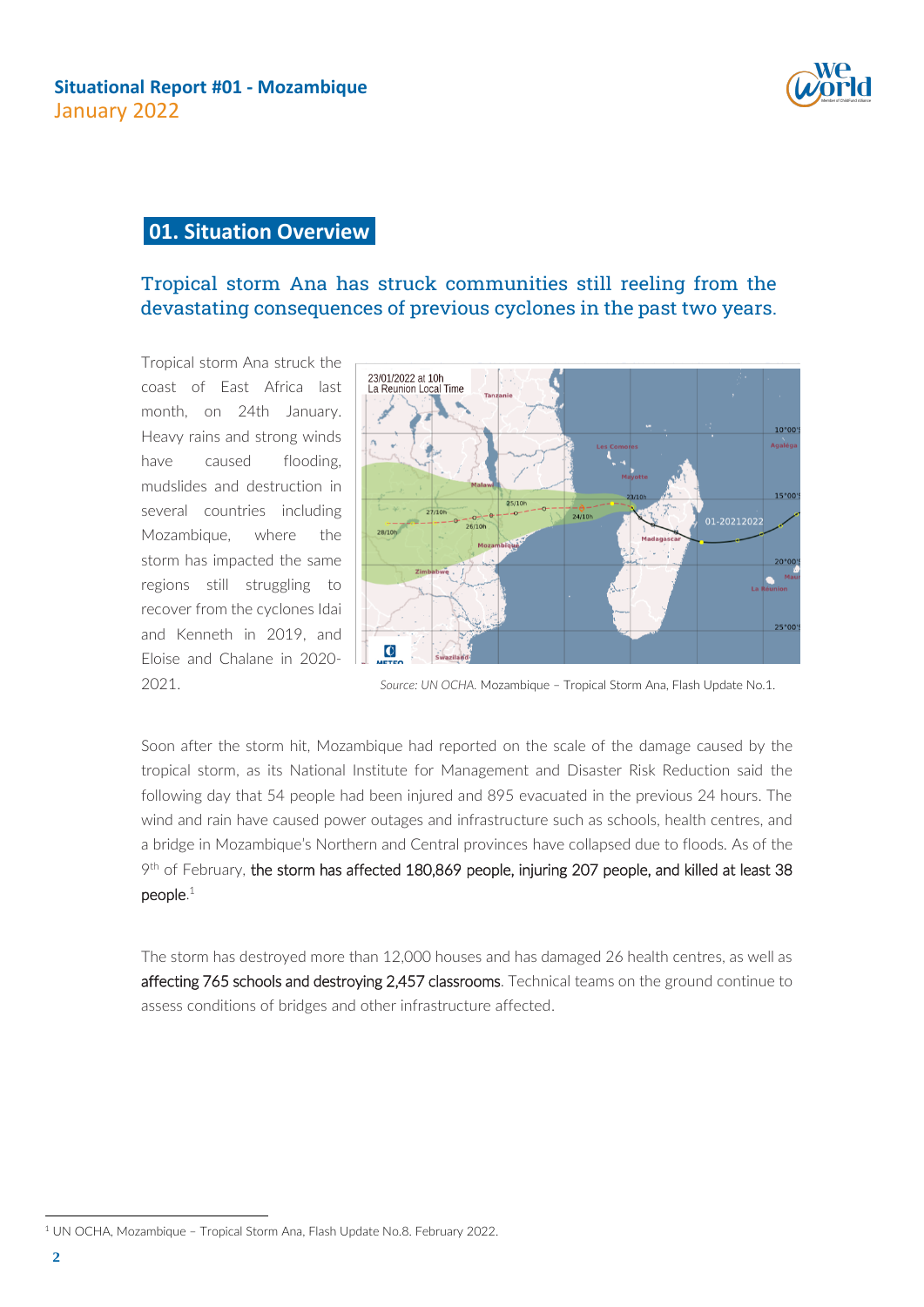

# **01. Situation Overview**

# Tropical storm Ana has struck communities still reeling from the devastating consequences of previous cyclones in the past two years.

Tropical storm Ana struck the coast of East Africa last month, on 24th January. Heavy rains and strong winds have caused flooding, mudslides and destruction in several countries including Mozambique, where the storm has impacted the same regions still struggling to recover from the cyclones Idai and Kenneth in 2019, and Eloise and Chalane in 2020-



2021. *Source: UN OCHA.* Mozambique – Tropical Storm Ana, Flash Update No.1.

Soon after the storm hit, Mozambique had reported on the scale of the damage caused by the tropical storm, as its National Institute for Management and Disaster Risk Reduction said the following day that 54 people had been injured and 895 evacuated in the previous 24 hours. The wind and rain have caused power outages and infrastructure such as schools, health centres, and a bridge in Mozambique's Northern and Central provinces have collapsed due to floods. As of the 9<sup>th</sup> of February, the storm has affected 180,869 people, injuring 207 people, and killed at least 38  $p$ eople. $1$ 

The storm has destroyed more than 12,000 houses and has damaged 26 health centres, as well as affecting 765 schools and destroying 2,457 classrooms. Technical teams on the ground continue to assess conditions of bridges and other infrastructure affected.

<sup>1</sup> UN OCHA, Mozambique – Tropical Storm Ana, Flash Update No.8. February 2022.

 $\overline{a}$